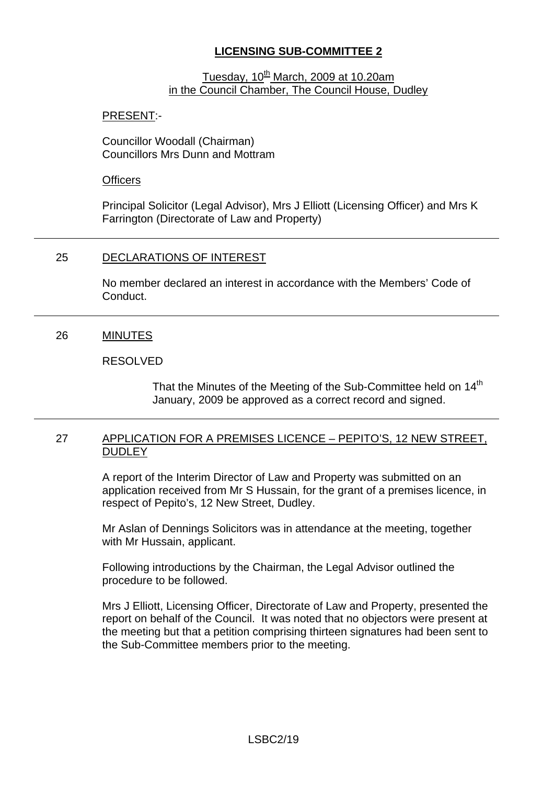# **LICENSING SUB-COMMITTEE 2**

### Tuesday,  $10^{\text{th}}$  March, 2009 at 10.20am in the Council Chamber, The Council House, Dudley

## PRESENT:-

Councillor Woodall (Chairman) Councillors Mrs Dunn and Mottram

### **Officers**

Principal Solicitor (Legal Advisor), Mrs J Elliott (Licensing Officer) and Mrs K Farrington (Directorate of Law and Property)

# 25 DECLARATIONS OF INTEREST

No member declared an interest in accordance with the Members' Code of **Conduct** 

## 26 MINUTES

### RESOLVED

That the Minutes of the Meeting of the Sub-Committee held on 14<sup>th</sup> January, 2009 be approved as a correct record and signed.

### 27 APPLICATION FOR A PREMISES LICENCE – PEPITO'S, 12 NEW STREET, **DUDLEY**

A report of the Interim Director of Law and Property was submitted on an application received from Mr S Hussain, for the grant of a premises licence, in respect of Pepito's, 12 New Street, Dudley.

Mr Aslan of Dennings Solicitors was in attendance at the meeting, together with Mr Hussain, applicant.

Following introductions by the Chairman, the Legal Advisor outlined the procedure to be followed.

Mrs J Elliott, Licensing Officer, Directorate of Law and Property, presented the report on behalf of the Council. It was noted that no objectors were present at the meeting but that a petition comprising thirteen signatures had been sent to the Sub-Committee members prior to the meeting.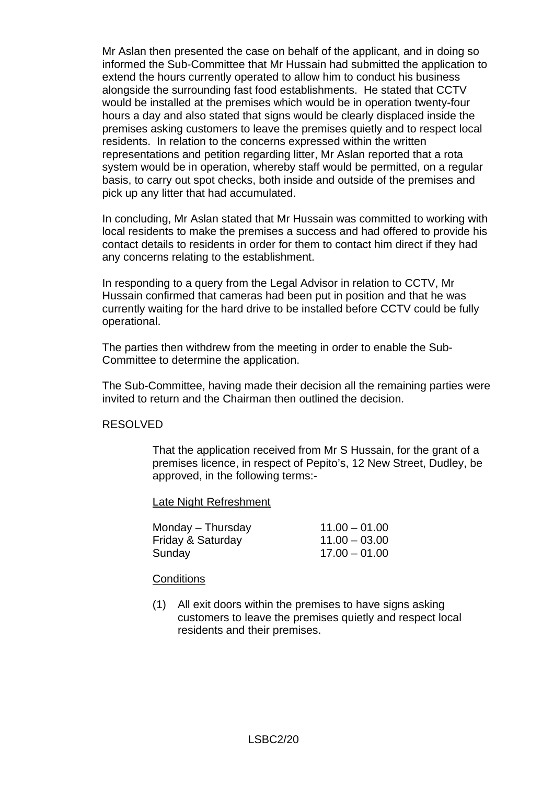Mr Aslan then presented the case on behalf of the applicant, and in doing so informed the Sub-Committee that Mr Hussain had submitted the application to extend the hours currently operated to allow him to conduct his business alongside the surrounding fast food establishments. He stated that CCTV would be installed at the premises which would be in operation twenty-four hours a day and also stated that signs would be clearly displaced inside the premises asking customers to leave the premises quietly and to respect local residents. In relation to the concerns expressed within the written representations and petition regarding litter, Mr Aslan reported that a rota system would be in operation, whereby staff would be permitted, on a regular basis, to carry out spot checks, both inside and outside of the premises and pick up any litter that had accumulated.

In concluding, Mr Aslan stated that Mr Hussain was committed to working with local residents to make the premises a success and had offered to provide his contact details to residents in order for them to contact him direct if they had any concerns relating to the establishment.

In responding to a query from the Legal Advisor in relation to CCTV, Mr Hussain confirmed that cameras had been put in position and that he was currently waiting for the hard drive to be installed before CCTV could be fully operational.

The parties then withdrew from the meeting in order to enable the Sub-Committee to determine the application.

The Sub-Committee, having made their decision all the remaining parties were invited to return and the Chairman then outlined the decision.

#### RESOLVED

That the application received from Mr S Hussain, for the grant of a premises licence, in respect of Pepito's, 12 New Street, Dudley, be approved, in the following terms:-

Late Night Refreshment

| Monday – Thursday | $11.00 - 01.00$ |
|-------------------|-----------------|
| Friday & Saturday | $11.00 - 03.00$ |
| Sunday            | $17.00 - 01.00$ |

#### **Conditions**

(1) All exit doors within the premises to have signs asking customers to leave the premises quietly and respect local residents and their premises.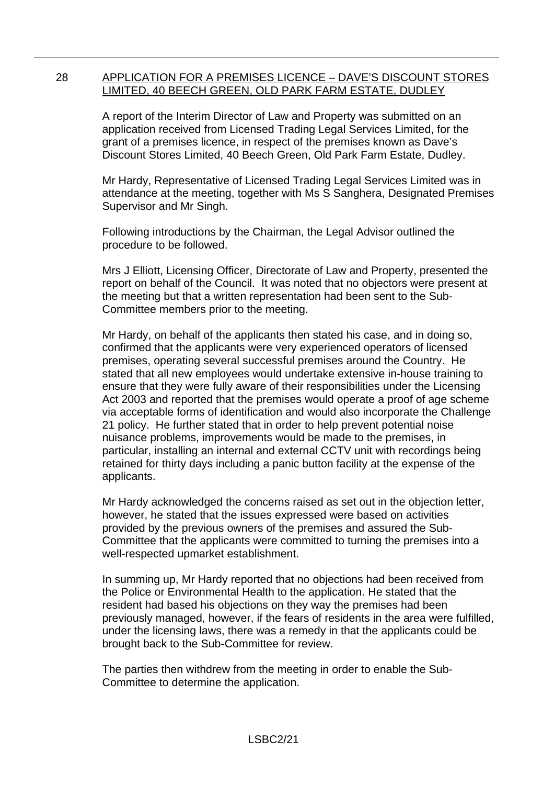### 28 APPLICATION FOR A PREMISES LICENCE – DAVE'S DISCOUNT STORES LIMITED, 40 BEECH GREEN, OLD PARK FARM ESTATE, DUDLEY

A report of the Interim Director of Law and Property was submitted on an application received from Licensed Trading Legal Services Limited, for the grant of a premises licence, in respect of the premises known as Dave's Discount Stores Limited, 40 Beech Green, Old Park Farm Estate, Dudley.

Mr Hardy, Representative of Licensed Trading Legal Services Limited was in attendance at the meeting, together with Ms S Sanghera, Designated Premises Supervisor and Mr Singh.

Following introductions by the Chairman, the Legal Advisor outlined the procedure to be followed.

Mrs J Elliott, Licensing Officer, Directorate of Law and Property, presented the report on behalf of the Council. It was noted that no objectors were present at the meeting but that a written representation had been sent to the Sub-Committee members prior to the meeting.

Mr Hardy, on behalf of the applicants then stated his case, and in doing so, confirmed that the applicants were very experienced operators of licensed premises, operating several successful premises around the Country. He stated that all new employees would undertake extensive in-house training to ensure that they were fully aware of their responsibilities under the Licensing Act 2003 and reported that the premises would operate a proof of age scheme via acceptable forms of identification and would also incorporate the Challenge 21 policy. He further stated that in order to help prevent potential noise nuisance problems, improvements would be made to the premises, in particular, installing an internal and external CCTV unit with recordings being retained for thirty days including a panic button facility at the expense of the applicants.

Mr Hardy acknowledged the concerns raised as set out in the objection letter, however, he stated that the issues expressed were based on activities provided by the previous owners of the premises and assured the Sub-Committee that the applicants were committed to turning the premises into a well-respected upmarket establishment.

In summing up, Mr Hardy reported that no objections had been received from the Police or Environmental Health to the application. He stated that the resident had based his objections on they way the premises had been previously managed, however, if the fears of residents in the area were fulfilled, under the licensing laws, there was a remedy in that the applicants could be brought back to the Sub-Committee for review.

The parties then withdrew from the meeting in order to enable the Sub-Committee to determine the application.